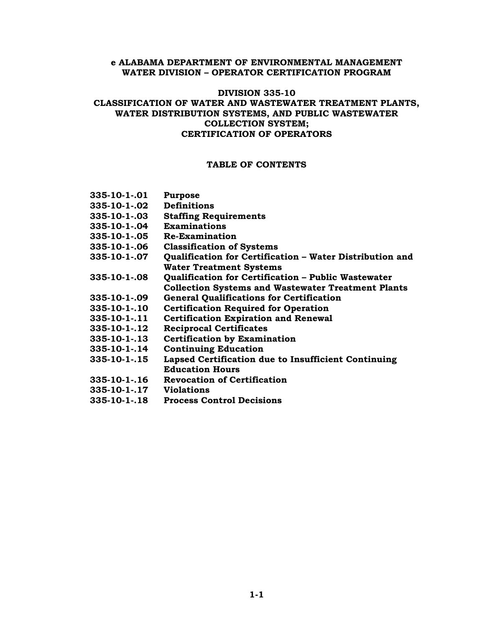### **e ALABAMA DEPARTMENT OF ENVIRONMENTAL MANAGEMENT WATER DIVISION – OPERATOR CERTIFICATION PROGRAM**

# **DIVISION 335-10 CLASSIFICATION OF WATER AND WASTEWATER TREATMENT PLANTS, WATER DISTRIBUTION SYSTEMS, AND PUBLIC WASTEWATER COLLECTION SYSTEM;**

# **CERTIFICATION OF OPERATORS**

#### **TABLE OF CONTENTS**

| $335 - 10 - 1 - 01$ | <b>Purpose</b>                                            |
|---------------------|-----------------------------------------------------------|
| $335 - 10 - 1 - 02$ | <b>Definitions</b>                                        |
| $335 - 10 - 1 - 03$ | <b>Staffing Requirements</b>                              |
| $335 - 10 - 1 - 04$ | <b>Examinations</b>                                       |
| $335 - 10 - 1 - 05$ | <b>Re-Examination</b>                                     |
| $335 - 10 - 1 - 06$ | <b>Classification of Systems</b>                          |
| $335 - 10 - 1 - 07$ | Qualification for Certification – Water Distribution and  |
|                     | <b>Water Treatment Systems</b>                            |
| 335-10-1-.08        | Qualification for Certification - Public Wastewater       |
|                     | <b>Collection Systems and Wastewater Treatment Plants</b> |
| $335 - 10 - 1 - 09$ | <b>General Qualifications for Certification</b>           |
| 335-10-1-.10        | <b>Certification Required for Operation</b>               |
| $335 - 10 - 1 - 11$ | <b>Certification Expiration and Renewal</b>               |
| $335 - 10 - 1 - 12$ | <b>Reciprocal Certificates</b>                            |
| $335 - 10 - 1 - 13$ | <b>Certification by Examination</b>                       |
| 335-10-1-.14        | <b>Continuing Education</b>                               |
| 335-10-1-.15        | Lapsed Certification due to Insufficient Continuing       |
|                     | <b>Education Hours</b>                                    |
| $335 - 10 - 1 - 16$ | <b>Revocation of Certification</b>                        |
| $335 - 10 - 1 - 17$ | <b>Violations</b>                                         |
| $335 - 10 - 1 - 18$ | <b>Process Control Decisions</b>                          |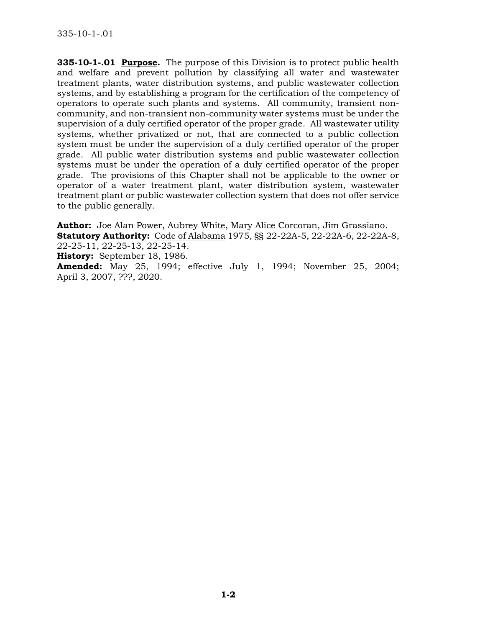**335-10-1-.01 Purpose.** The purpose of this Division is to protect public health and welfare and prevent pollution by classifying all water and wastewater treatment plants, water distribution systems, and public wastewater collection systems, and by establishing a program for the certification of the competency of operators to operate such plants and systems. All community, transient noncommunity, and non-transient non-community water systems must be under the supervision of a duly certified operator of the proper grade. All wastewater utility systems, whether privatized or not, that are connected to a public collection system must be under the supervision of a duly certified operator of the proper grade. All public water distribution systems and public wastewater collection systems must be under the operation of a duly certified operator of the proper grade. The provisions of this Chapter shall not be applicable to the owner or operator of a water treatment plant, water distribution system, wastewater treatment plant or public wastewater collection system that does not offer service to the public generally.

**Author:** Joe Alan Power, Aubrey White, Mary Alice Corcoran, Jim Grassiano. **Statutory Authority:** Code of Alabama 1975, §§ 22-22A-5, 22-22A-6, 22-22A-8, 22-25-11, 22-25-13, 22-25-14. **History:** September 18, 1986. **Amended:** May 25, 1994; effective July 1, 1994; November 25, 2004; April 3, 2007, ???, 2020.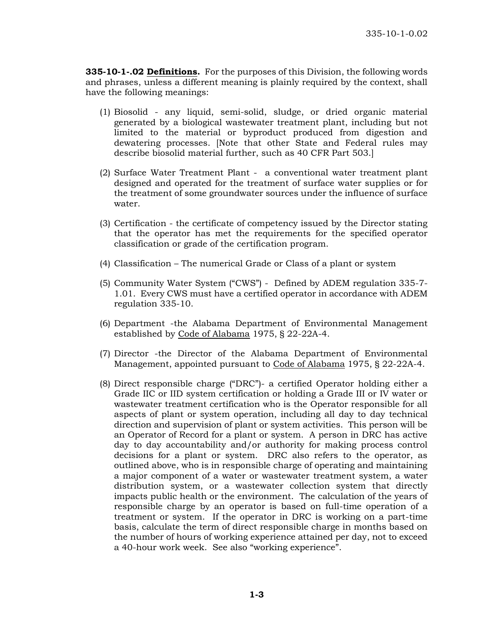**335-10-1-.02 Definitions.** For the purposes of this Division, the following words and phrases, unless a different meaning is plainly required by the context, shall have the following meanings:

- (1) Biosolid any liquid, semi-solid, sludge, or dried organic material generated by a biological wastewater treatment plant, including but not limited to the material or byproduct produced from digestion and dewatering processes. [Note that other State and Federal rules may describe biosolid material further, such as 40 CFR Part 503.]
- (2) Surface Water Treatment Plant a conventional water treatment plant designed and operated for the treatment of surface water supplies or for the treatment of some groundwater sources under the influence of surface water.
- (3) Certification the certificate of competency issued by the Director stating that the operator has met the requirements for the specified operator classification or grade of the certification program.
- (4) Classification The numerical Grade or Class of a plant or system
- (5) Community Water System ("CWS") Defined by ADEM regulation 335-7- 1.01. Every CWS must have a certified operator in accordance with ADEM regulation 335-10.
- (6) Department -the Alabama Department of Environmental Management established by Code of Alabama 1975, § 22-22A-4.
- (7) Director -the Director of the Alabama Department of Environmental Management, appointed pursuant to Code of Alabama 1975, § 22-22A-4.
- (8) Direct responsible charge ("DRC")- a certified Operator holding either a Grade IIC or IID system certification or holding a Grade III or IV water or wastewater treatment certification who is the Operator responsible for all aspects of plant or system operation, including all day to day technical direction and supervision of plant or system activities. This person will be an Operator of Record for a plant or system. A person in DRC has active day to day accountability and/or authority for making process control decisions for a plant or system. DRC also refers to the operator, as outlined above, who is in responsible charge of operating and maintaining a major component of a water or wastewater treatment system, a water distribution system, or a wastewater collection system that directly impacts public health or the environment. The calculation of the years of responsible charge by an operator is based on full-time operation of a treatment or system. If the operator in DRC is working on a part-time basis, calculate the term of direct responsible charge in months based on the number of hours of working experience attained per day, not to exceed a 40-hour work week. See also "working experience".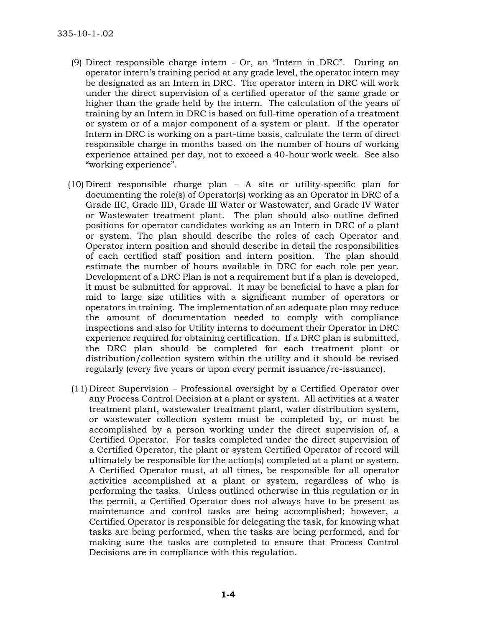- (9) Direct responsible charge intern Or, an "Intern in DRC". During an operator intern's training period at any grade level, the operator intern may be designated as an Intern in DRC. The operator intern in DRC will work under the direct supervision of a certified operator of the same grade or higher than the grade held by the intern. The calculation of the years of training by an Intern in DRC is based on full-time operation of a treatment or system or of a major component of a system or plant. If the operator Intern in DRC is working on a part-time basis, calculate the term of direct responsible charge in months based on the number of hours of working experience attained per day, not to exceed a 40-hour work week. See also "working experience".
- (10) Direct responsible charge plan A site or utility-specific plan for documenting the role(s) of Operator(s) working as an Operator in DRC of a Grade IIC, Grade IID, Grade III Water or Wastewater, and Grade IV Water or Wastewater treatment plant. The plan should also outline defined positions for operator candidates working as an Intern in DRC of a plant or system. The plan should describe the roles of each Operator and Operator intern position and should describe in detail the responsibilities of each certified staff position and intern position. The plan should estimate the number of hours available in DRC for each role per year. Development of a DRC Plan is not a requirement but if a plan is developed, it must be submitted for approval. It may be beneficial to have a plan for mid to large size utilities with a significant number of operators or operators in training. The implementation of an adequate plan may reduce the amount of documentation needed to comply with compliance inspections and also for Utility interns to document their Operator in DRC experience required for obtaining certification. If a DRC plan is submitted, the DRC plan should be completed for each treatment plant or distribution/collection system within the utility and it should be revised regularly (every five years or upon every permit issuance/re-issuance).
- (11) Direct Supervision Professional oversight by a Certified Operator over any Process Control Decision at a plant or system. All activities at a water treatment plant, wastewater treatment plant, water distribution system, or wastewater collection system must be completed by, or must be accomplished by a person working under the direct supervision of, a Certified Operator. For tasks completed under the direct supervision of a Certified Operator, the plant or system Certified Operator of record will ultimately be responsible for the action(s) completed at a plant or system. A Certified Operator must, at all times, be responsible for all operator activities accomplished at a plant or system, regardless of who is performing the tasks. Unless outlined otherwise in this regulation or in the permit, a Certified Operator does not always have to be present as maintenance and control tasks are being accomplished; however, a Certified Operator is responsible for delegating the task, for knowing what tasks are being performed, when the tasks are being performed, and for making sure the tasks are completed to ensure that Process Control Decisions are in compliance with this regulation.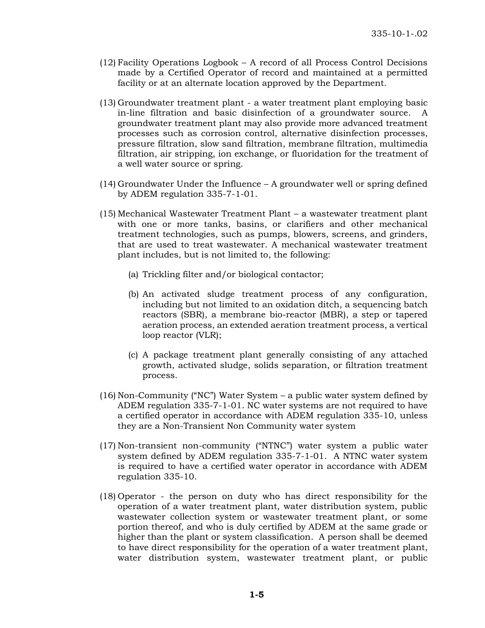- (12) Facility Operations Logbook A record of all Process Control Decisions made by a Certified Operator of record and maintained at a permitted facility or at an alternate location approved by the Department.
- (13) Groundwater treatment plant a water treatment plant employing basic in-line filtration and basic disinfection of a groundwater source. A groundwater treatment plant may also provide more advanced treatment processes such as corrosion control, alternative disinfection processes, pressure filtration, slow sand filtration, membrane filtration, multimedia filtration, air stripping, ion exchange, or fluoridation for the treatment of a well water source or spring.
- (14) Groundwater Under the Influence A groundwater well or spring defined by ADEM regulation 335-7-1-01.
- (15) Mechanical Wastewater Treatment Plant a wastewater treatment plant with one or more tanks, basins, or clarifiers and other mechanical treatment technologies, such as pumps, blowers, screens, and grinders, that are used to treat wastewater. A mechanical wastewater treatment plant includes, but is not limited to, the following:
	- (a) Trickling filter and/or biological contactor;
	- (b) An activated sludge treatment process of any configuration, including but not limited to an oxidation ditch, a sequencing batch reactors (SBR), a membrane bio-reactor (MBR), a step or tapered aeration process, an extended aeration treatment process, a vertical loop reactor (VLR);
	- (c) A package treatment plant generally consisting of any attached growth, activated sludge, solids separation, or filtration treatment process.
- (16) Non-Community ("NC") Water System a public water system defined by ADEM regulation 335-7-1-01. NC water systems are not required to have a certified operator in accordance with ADEM regulation 335-10, unless they are a Non-Transient Non Community water system
- (17) Non-transient non-community ("NTNC") water system a public water system defined by ADEM regulation 335-7-1-01. A NTNC water system is required to have a certified water operator in accordance with ADEM regulation 335-10.
- (18) Operator the person on duty who has direct responsibility for the operation of a water treatment plant, water distribution system, public wastewater collection system or wastewater treatment plant, or some portion thereof, and who is duly certified by ADEM at the same grade or higher than the plant or system classification. A person shall be deemed to have direct responsibility for the operation of a water treatment plant, water distribution system, wastewater treatment plant, or public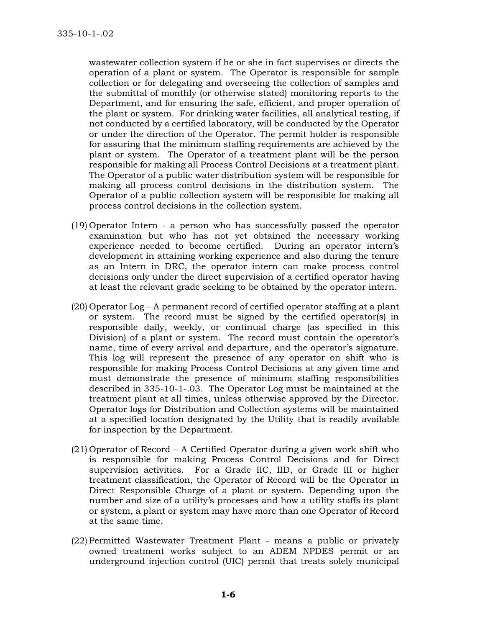wastewater collection system if he or she in fact supervises or directs the operation of a plant or system. The Operator is responsible for sample collection or for delegating and overseeing the collection of samples and the submittal of monthly (or otherwise stated) monitoring reports to the Department, and for ensuring the safe, efficient, and proper operation of the plant or system. For drinking water facilities, all analytical testing, if not conducted by a certified laboratory, will be conducted by the Operator or under the direction of the Operator. The permit holder is responsible for assuring that the minimum staffing requirements are achieved by the plant or system. The Operator of a treatment plant will be the person responsible for making all Process Control Decisions at a treatment plant. The Operator of a public water distribution system will be responsible for making all process control decisions in the distribution system. The Operator of a public collection system will be responsible for making all process control decisions in the collection system.

- (19) Operator Intern a person who has successfully passed the operator examination but who has not yet obtained the necessary working experience needed to become certified. During an operator intern's development in attaining working experience and also during the tenure as an Intern in DRC, the operator intern can make process control decisions only under the direct supervision of a certified operator having at least the relevant grade seeking to be obtained by the operator intern.
- (20) Operator Log A permanent record of certified operator staffing at a plant or system. The record must be signed by the certified operator(s) in responsible daily, weekly, or continual charge (as specified in this Division) of a plant or system. The record must contain the operator's name, time of every arrival and departure, and the operator's signature. This log will represent the presence of any operator on shift who is responsible for making Process Control Decisions at any given time and must demonstrate the presence of minimum staffing responsibilities described in 335-10-1-.03. The Operator Log must be maintained at the treatment plant at all times, unless otherwise approved by the Director. Operator logs for Distribution and Collection systems will be maintained at a specified location designated by the Utility that is readily available for inspection by the Department.
- (21) Operator of Record A Certified Operator during a given work shift who is responsible for making Process Control Decisions and for Direct supervision activities. For a Grade IIC, IID, or Grade III or higher treatment classification, the Operator of Record will be the Operator in Direct Responsible Charge of a plant or system. Depending upon the number and size of a utility's processes and how a utility staffs its plant or system, a plant or system may have more than one Operator of Record at the same time.
- (22) Permitted Wastewater Treatment Plant means a public or privately owned treatment works subject to an ADEM NPDES permit or an underground injection control (UIC) permit that treats solely municipal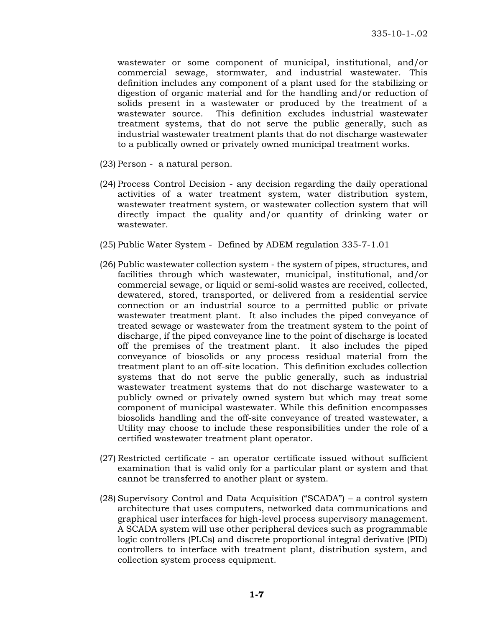wastewater or some component of municipal, institutional, and/or commercial sewage, stormwater, and industrial wastewater. This definition includes any component of a plant used for the stabilizing or digestion of organic material and for the handling and/or reduction of solids present in a wastewater or produced by the treatment of a wastewater source. This definition excludes industrial wastewater treatment systems, that do not serve the public generally, such as industrial wastewater treatment plants that do not discharge wastewater to a publically owned or privately owned municipal treatment works.

- (23) Person a natural person.
- (24) Process Control Decision any decision regarding the daily operational activities of a water treatment system, water distribution system, wastewater treatment system, or wastewater collection system that will directly impact the quality and/or quantity of drinking water or wastewater.
- (25) Public Water System Defined by ADEM regulation 335-7-1.01
- (26) Public wastewater collection system the system of pipes, structures, and facilities through which wastewater, municipal, institutional, and/or commercial sewage, or liquid or semi-solid wastes are received, collected, dewatered, stored, transported, or delivered from a residential service connection or an industrial source to a permitted public or private wastewater treatment plant. It also includes the piped conveyance of treated sewage or wastewater from the treatment system to the point of discharge, if the piped conveyance line to the point of discharge is located off the premises of the treatment plant. It also includes the piped conveyance of biosolids or any process residual material from the treatment plant to an off-site location. This definition excludes collection systems that do not serve the public generally, such as industrial wastewater treatment systems that do not discharge wastewater to a publicly owned or privately owned system but which may treat some component of municipal wastewater. While this definition encompasses biosolids handling and the off-site conveyance of treated wastewater, a Utility may choose to include these responsibilities under the role of a certified wastewater treatment plant operator.
- (27) Restricted certificate an operator certificate issued without sufficient examination that is valid only for a particular plant or system and that cannot be transferred to another plant or system.
- (28) Supervisory Control and Data Acquisition ("SCADA") a control system architecture that uses computers, networked data communications and graphical user interfaces for high-level process supervisory management. A SCADA system will use other peripheral devices such as programmable logic controllers (PLCs) and discrete proportional integral derivative (PID) controllers to interface with treatment plant, distribution system, and collection system process equipment.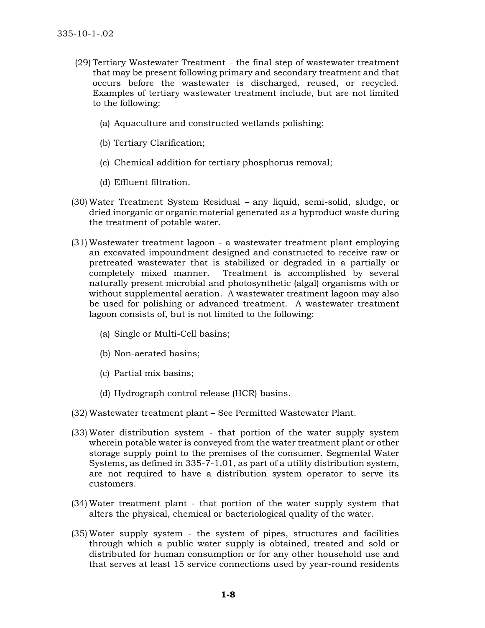- (29) Tertiary Wastewater Treatment the final step of wastewater treatment that may be present following primary and secondary treatment and that occurs before the wastewater is discharged, reused, or recycled. Examples of tertiary wastewater treatment include, but are not limited to the following:
	- (a) Aquaculture and constructed wetlands polishing;
	- (b) Tertiary Clarification;
	- (c) Chemical addition for tertiary phosphorus removal;
	- (d) Effluent filtration.
- (30) Water Treatment System Residual any liquid, semi-solid, sludge, or dried inorganic or organic material generated as a byproduct waste during the treatment of potable water.
- (31) Wastewater treatment lagoon a wastewater treatment plant employing an excavated impoundment designed and constructed to receive raw or pretreated wastewater that is stabilized or degraded in a partially or completely mixed manner. Treatment is accomplished by several naturally present microbial and photosynthetic (algal) organisms with or without supplemental aeration. A wastewater treatment lagoon may also be used for polishing or advanced treatment. A wastewater treatment lagoon consists of, but is not limited to the following:
	- (a) Single or Multi-Cell basins;
	- (b) Non-aerated basins;
	- (c) Partial mix basins;
	- (d) Hydrograph control release (HCR) basins.
- (32) Wastewater treatment plant See Permitted Wastewater Plant.
- (33) Water distribution system that portion of the water supply system wherein potable water is conveyed from the water treatment plant or other storage supply point to the premises of the consumer. Segmental Water Systems, as defined in 335-7-1.01, as part of a utility distribution system, are not required to have a distribution system operator to serve its customers.
- (34) Water treatment plant that portion of the water supply system that alters the physical, chemical or bacteriological quality of the water.
- (35) Water supply system the system of pipes, structures and facilities through which a public water supply is obtained, treated and sold or distributed for human consumption or for any other household use and that serves at least 15 service connections used by year-round residents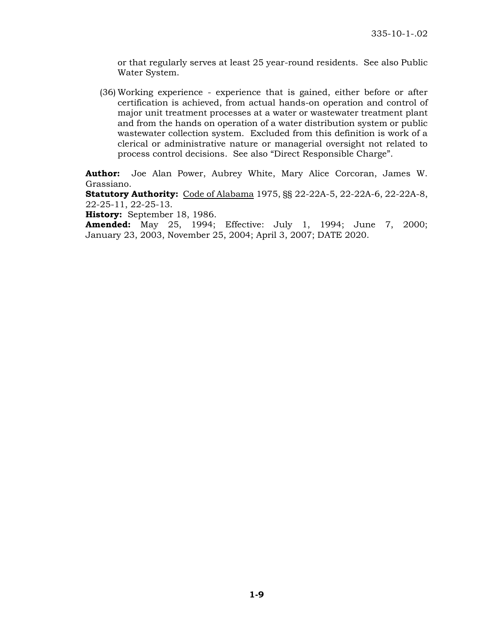or that regularly serves at least 25 year-round residents. See also Public Water System.

(36) Working experience - experience that is gained, either before or after certification is achieved, from actual hands-on operation and control of major unit treatment processes at a water or wastewater treatment plant and from the hands on operation of a water distribution system or public wastewater collection system. Excluded from this definition is work of a clerical or administrative nature or managerial oversight not related to process control decisions. See also "Direct Responsible Charge".

**Author:** Joe Alan Power, Aubrey White, Mary Alice Corcoran, James W. Grassiano.

**Statutory Authority:** Code of Alabama 1975, §§ 22-22A-5, 22-22A-6, 22-22A-8, 22-25-11, 22-25-13.

**History:** September 18, 1986.

**Amended:** May 25, 1994; Effective: July 1, 1994; June 7, 2000; January 23, 2003, November 25, 2004; April 3, 2007; DATE 2020.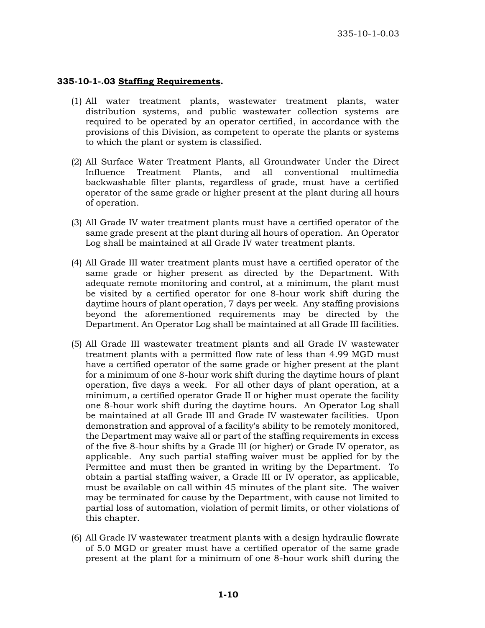## **335-10-1-.03 Staffing Requirements.**

- (1) All water treatment plants, wastewater treatment plants, water distribution systems, and public wastewater collection systems are required to be operated by an operator certified, in accordance with the provisions of this Division, as competent to operate the plants or systems to which the plant or system is classified.
- (2) All Surface Water Treatment Plants, all Groundwater Under the Direct Influence Treatment Plants, and all conventional multimedia backwashable filter plants, regardless of grade, must have a certified operator of the same grade or higher present at the plant during all hours of operation.
- (3) All Grade IV water treatment plants must have a certified operator of the same grade present at the plant during all hours of operation. An Operator Log shall be maintained at all Grade IV water treatment plants.
- (4) All Grade III water treatment plants must have a certified operator of the same grade or higher present as directed by the Department. With adequate remote monitoring and control, at a minimum, the plant must be visited by a certified operator for one 8-hour work shift during the daytime hours of plant operation, 7 days per week. Any staffing provisions beyond the aforementioned requirements may be directed by the Department. An Operator Log shall be maintained at all Grade III facilities.
- (5) All Grade III wastewater treatment plants and all Grade IV wastewater treatment plants with a permitted flow rate of less than 4.99 MGD must have a certified operator of the same grade or higher present at the plant for a minimum of one 8-hour work shift during the daytime hours of plant operation, five days a week. For all other days of plant operation, at a minimum, a certified operator Grade II or higher must operate the facility one 8-hour work shift during the daytime hours. An Operator Log shall be maintained at all Grade III and Grade IV wastewater facilities. Upon demonstration and approval of a facility's ability to be remotely monitored, the Department may waive all or part of the staffing requirements in excess of the five 8-hour shifts by a Grade III (or higher) or Grade IV operator, as applicable. Any such partial staffing waiver must be applied for by the Permittee and must then be granted in writing by the Department. To obtain a partial staffing waiver, a Grade III or IV operator, as applicable, must be available on call within 45 minutes of the plant site. The waiver may be terminated for cause by the Department, with cause not limited to partial loss of automation, violation of permit limits, or other violations of this chapter.
- (6) All Grade IV wastewater treatment plants with a design hydraulic flowrate of 5.0 MGD or greater must have a certified operator of the same grade present at the plant for a minimum of one 8-hour work shift during the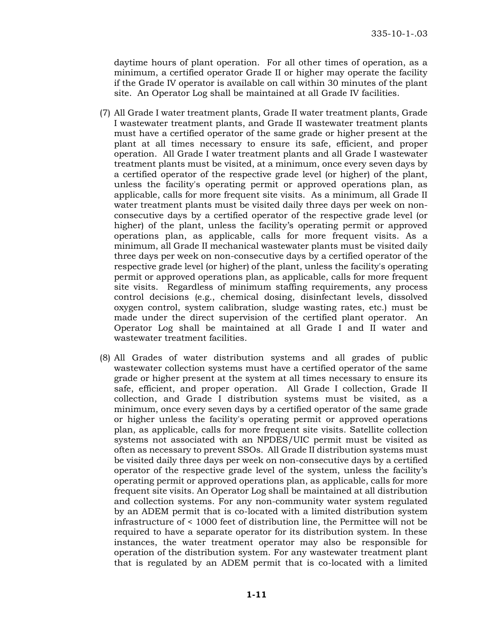daytime hours of plant operation. For all other times of operation, as a minimum, a certified operator Grade II or higher may operate the facility if the Grade IV operator is available on call within 30 minutes of the plant site. An Operator Log shall be maintained at all Grade IV facilities.

- (7) All Grade I water treatment plants, Grade II water treatment plants, Grade I wastewater treatment plants, and Grade II wastewater treatment plants must have a certified operator of the same grade or higher present at the plant at all times necessary to ensure its safe, efficient, and proper operation. All Grade I water treatment plants and all Grade I wastewater treatment plants must be visited, at a minimum, once every seven days by a certified operator of the respective grade level (or higher) of the plant, unless the facility's operating permit or approved operations plan, as applicable, calls for more frequent site visits. As a minimum, all Grade II water treatment plants must be visited daily three days per week on nonconsecutive days by a certified operator of the respective grade level (or higher) of the plant, unless the facility's operating permit or approved operations plan, as applicable, calls for more frequent visits. As a minimum, all Grade II mechanical wastewater plants must be visited daily three days per week on non-consecutive days by a certified operator of the respective grade level (or higher) of the plant, unless the facility's operating permit or approved operations plan, as applicable, calls for more frequent site visits. Regardless of minimum staffing requirements, any process control decisions (e.g., chemical dosing, disinfectant levels, dissolved oxygen control, system calibration, sludge wasting rates, etc.) must be made under the direct supervision of the certified plant operator. An Operator Log shall be maintained at all Grade I and II water and wastewater treatment facilities.
- (8) All Grades of water distribution systems and all grades of public wastewater collection systems must have a certified operator of the same grade or higher present at the system at all times necessary to ensure its safe, efficient, and proper operation. All Grade I collection, Grade II collection, and Grade I distribution systems must be visited, as a minimum, once every seven days by a certified operator of the same grade or higher unless the facility's operating permit or approved operations plan, as applicable, calls for more frequent site visits. Satellite collection systems not associated with an NPDES/UIC permit must be visited as often as necessary to prevent SSOs. All Grade II distribution systems must be visited daily three days per week on non-consecutive days by a certified operator of the respective grade level of the system, unless the facility's operating permit or approved operations plan, as applicable, calls for more frequent site visits. An Operator Log shall be maintained at all distribution and collection systems. For any non-community water system regulated by an ADEM permit that is co-located with a limited distribution system infrastructure of < 1000 feet of distribution line, the Permittee will not be required to have a separate operator for its distribution system. In these instances, the water treatment operator may also be responsible for operation of the distribution system. For any wastewater treatment plant that is regulated by an ADEM permit that is co-located with a limited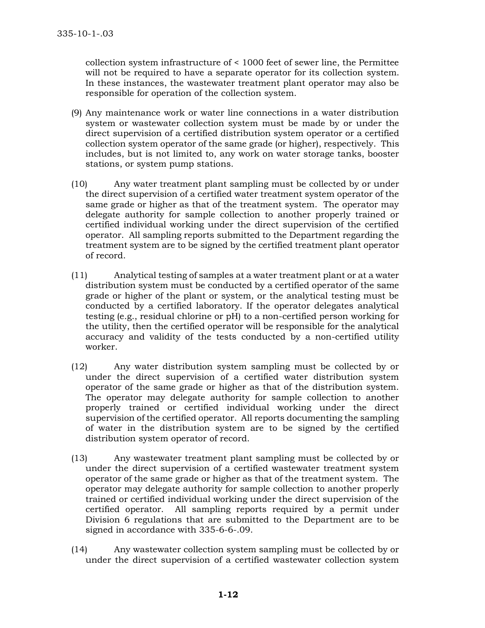collection system infrastructure of < 1000 feet of sewer line, the Permittee will not be required to have a separate operator for its collection system. In these instances, the wastewater treatment plant operator may also be responsible for operation of the collection system.

- (9) Any maintenance work or water line connections in a water distribution system or wastewater collection system must be made by or under the direct supervision of a certified distribution system operator or a certified collection system operator of the same grade (or higher), respectively. This includes, but is not limited to, any work on water storage tanks, booster stations, or system pump stations.
- (10) Any water treatment plant sampling must be collected by or under the direct supervision of a certified water treatment system operator of the same grade or higher as that of the treatment system. The operator may delegate authority for sample collection to another properly trained or certified individual working under the direct supervision of the certified operator. All sampling reports submitted to the Department regarding the treatment system are to be signed by the certified treatment plant operator of record.
- (11) Analytical testing of samples at a water treatment plant or at a water distribution system must be conducted by a certified operator of the same grade or higher of the plant or system, or the analytical testing must be conducted by a certified laboratory. If the operator delegates analytical testing (e.g., residual chlorine or pH) to a non-certified person working for the utility, then the certified operator will be responsible for the analytical accuracy and validity of the tests conducted by a non-certified utility worker.
- (12) Any water distribution system sampling must be collected by or under the direct supervision of a certified water distribution system operator of the same grade or higher as that of the distribution system. The operator may delegate authority for sample collection to another properly trained or certified individual working under the direct supervision of the certified operator. All reports documenting the sampling of water in the distribution system are to be signed by the certified distribution system operator of record.
- (13) Any wastewater treatment plant sampling must be collected by or under the direct supervision of a certified wastewater treatment system operator of the same grade or higher as that of the treatment system. The operator may delegate authority for sample collection to another properly trained or certified individual working under the direct supervision of the certified operator. All sampling reports required by a permit under Division 6 regulations that are submitted to the Department are to be signed in accordance with 335-6-6-.09.
- (14) Any wastewater collection system sampling must be collected by or under the direct supervision of a certified wastewater collection system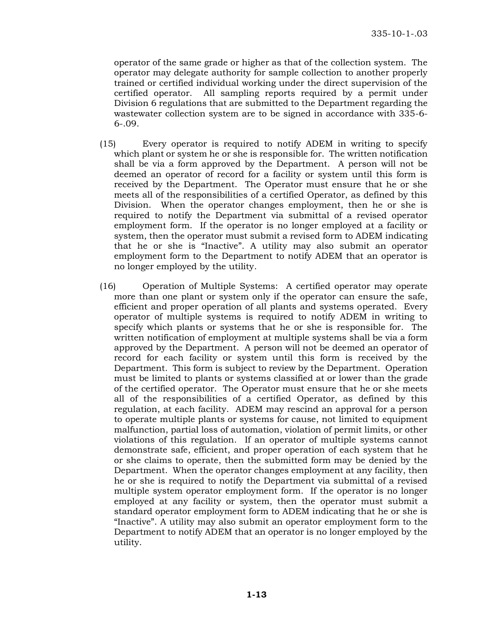operator of the same grade or higher as that of the collection system. The operator may delegate authority for sample collection to another properly trained or certified individual working under the direct supervision of the certified operator. All sampling reports required by a permit under Division 6 regulations that are submitted to the Department regarding the wastewater collection system are to be signed in accordance with 335-6-  $6 - .09$ .

- (15) Every operator is required to notify ADEM in writing to specify which plant or system he or she is responsible for. The written notification shall be via a form approved by the Department. A person will not be deemed an operator of record for a facility or system until this form is received by the Department. The Operator must ensure that he or she meets all of the responsibilities of a certified Operator, as defined by this Division. When the operator changes employment, then he or she is required to notify the Department via submittal of a revised operator employment form. If the operator is no longer employed at a facility or system, then the operator must submit a revised form to ADEM indicating that he or she is "Inactive". A utility may also submit an operator employment form to the Department to notify ADEM that an operator is no longer employed by the utility.
- (16) Operation of Multiple Systems: A certified operator may operate more than one plant or system only if the operator can ensure the safe, efficient and proper operation of all plants and systems operated. Every operator of multiple systems is required to notify ADEM in writing to specify which plants or systems that he or she is responsible for. The written notification of employment at multiple systems shall be via a form approved by the Department. A person will not be deemed an operator of record for each facility or system until this form is received by the Department. This form is subject to review by the Department. Operation must be limited to plants or systems classified at or lower than the grade of the certified operator. The Operator must ensure that he or she meets all of the responsibilities of a certified Operator, as defined by this regulation, at each facility. ADEM may rescind an approval for a person to operate multiple plants or systems for cause, not limited to equipment malfunction, partial loss of automation, violation of permit limits, or other violations of this regulation. If an operator of multiple systems cannot demonstrate safe, efficient, and proper operation of each system that he or she claims to operate, then the submitted form may be denied by the Department. When the operator changes employment at any facility, then he or she is required to notify the Department via submittal of a revised multiple system operator employment form. If the operator is no longer employed at any facility or system, then the operator must submit a standard operator employment form to ADEM indicating that he or she is "Inactive". A utility may also submit an operator employment form to the Department to notify ADEM that an operator is no longer employed by the utility.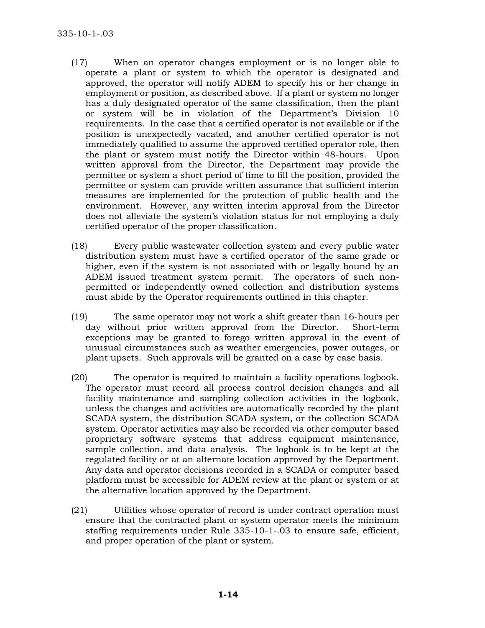- (17) When an operator changes employment or is no longer able to operate a plant or system to which the operator is designated and approved, the operator will notify ADEM to specify his or her change in employment or position, as described above. If a plant or system no longer has a duly designated operator of the same classification, then the plant or system will be in violation of the Department's Division 10 requirements. In the case that a certified operator is not available or if the position is unexpectedly vacated, and another certified operator is not immediately qualified to assume the approved certified operator role, then the plant or system must notify the Director within 48-hours. Upon written approval from the Director, the Department may provide the permittee or system a short period of time to fill the position, provided the permittee or system can provide written assurance that sufficient interim measures are implemented for the protection of public health and the environment. However, any written interim approval from the Director does not alleviate the system's violation status for not employing a duly certified operator of the proper classification.
- (18) Every public wastewater collection system and every public water distribution system must have a certified operator of the same grade or higher, even if the system is not associated with or legally bound by an ADEM issued treatment system permit. The operators of such nonpermitted or independently owned collection and distribution systems must abide by the Operator requirements outlined in this chapter.
- (19) The same operator may not work a shift greater than 16-hours per day without prior written approval from the Director. Short-term exceptions may be granted to forego written approval in the event of unusual circumstances such as weather emergencies, power outages, or plant upsets. Such approvals will be granted on a case by case basis.
- (20) The operator is required to maintain a facility operations logbook. The operator must record all process control decision changes and all facility maintenance and sampling collection activities in the logbook, unless the changes and activities are automatically recorded by the plant SCADA system, the distribution SCADA system, or the collection SCADA system. Operator activities may also be recorded via other computer based proprietary software systems that address equipment maintenance, sample collection, and data analysis. The logbook is to be kept at the regulated facility or at an alternate location approved by the Department. Any data and operator decisions recorded in a SCADA or computer based platform must be accessible for ADEM review at the plant or system or at the alternative location approved by the Department.
- (21) Utilities whose operator of record is under contract operation must ensure that the contracted plant or system operator meets the minimum staffing requirements under Rule 335-10-1-.03 to ensure safe, efficient, and proper operation of the plant or system.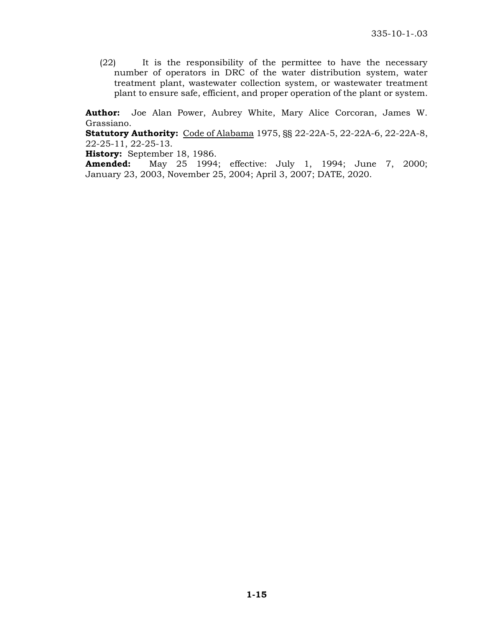(22) It is the responsibility of the permittee to have the necessary number of operators in DRC of the water distribution system, water treatment plant, wastewater collection system, or wastewater treatment plant to ensure safe, efficient, and proper operation of the plant or system.

**Author:** Joe Alan Power, Aubrey White, Mary Alice Corcoran, James W. Grassiano.

**Statutory Authority:** Code of Alabama 1975, §§ 22-22A-5, 22-22A-6, 22-22A-8, 22-25-11, 22-25-13.

**History:** September 18, 1986.

**Amended:** May 25 1994; effective: July 1, 1994; June 7, 2000; January 23, 2003, November 25, 2004; April 3, 2007; DATE, 2020.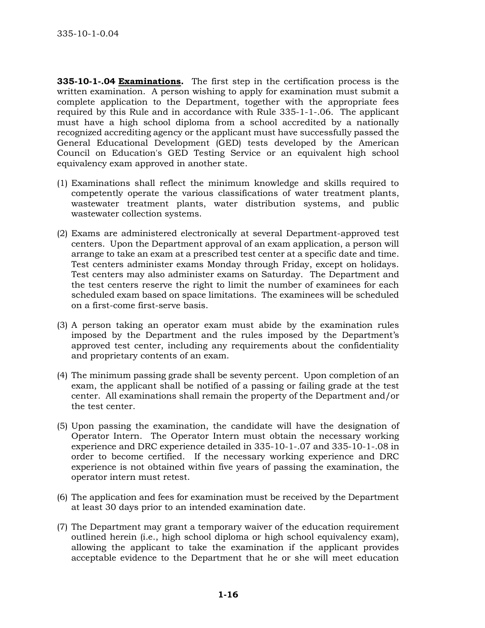**335-10-1-.04 Examinations.** The first step in the certification process is the written examination. A person wishing to apply for examination must submit a complete application to the Department, together with the appropriate fees required by this Rule and in accordance with Rule 335-1-1-.06. The applicant must have a high school diploma from a school accredited by a nationally recognized accrediting agency or the applicant must have successfully passed the General Educational Development (GED) tests developed by the American Council on Education's GED Testing Service or an equivalent high school equivalency exam approved in another state.

- (1) Examinations shall reflect the minimum knowledge and skills required to competently operate the various classifications of water treatment plants, wastewater treatment plants, water distribution systems, and public wastewater collection systems.
- (2) Exams are administered electronically at several Department-approved test centers. Upon the Department approval of an exam application, a person will arrange to take an exam at a prescribed test center at a specific date and time. Test centers administer exams Monday through Friday, except on holidays. Test centers may also administer exams on Saturday. The Department and the test centers reserve the right to limit the number of examinees for each scheduled exam based on space limitations. The examinees will be scheduled on a first-come first-serve basis.
- (3) A person taking an operator exam must abide by the examination rules imposed by the Department and the rules imposed by the Department's approved test center, including any requirements about the confidentiality and proprietary contents of an exam.
- (4) The minimum passing grade shall be seventy percent. Upon completion of an exam, the applicant shall be notified of a passing or failing grade at the test center. All examinations shall remain the property of the Department and/or the test center.
- (5) Upon passing the examination, the candidate will have the designation of Operator Intern. The Operator Intern must obtain the necessary working experience and DRC experience detailed in 335-10-1-.07 and 335-10-1-.08 in order to become certified. If the necessary working experience and DRC experience is not obtained within five years of passing the examination, the operator intern must retest.
- (6) The application and fees for examination must be received by the Department at least 30 days prior to an intended examination date.
- (7) The Department may grant a temporary waiver of the education requirement outlined herein (i.e., high school diploma or high school equivalency exam), allowing the applicant to take the examination if the applicant provides acceptable evidence to the Department that he or she will meet education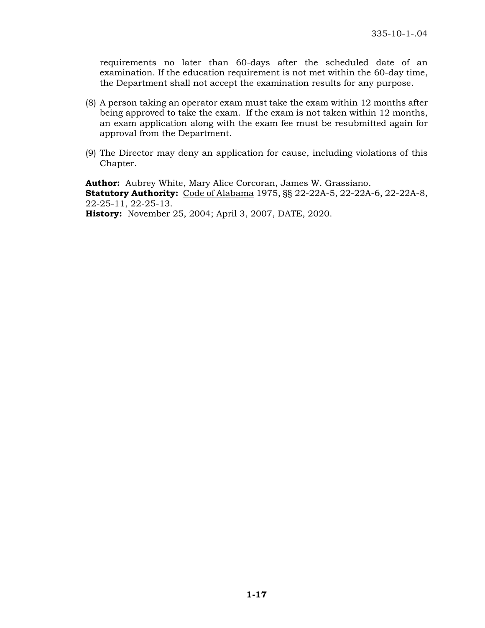requirements no later than 60-days after the scheduled date of an examination. If the education requirement is not met within the 60-day time, the Department shall not accept the examination results for any purpose.

- (8) A person taking an operator exam must take the exam within 12 months after being approved to take the exam. If the exam is not taken within 12 months, an exam application along with the exam fee must be resubmitted again for approval from the Department.
- (9) The Director may deny an application for cause, including violations of this Chapter.

**Author:** Aubrey White, Mary Alice Corcoran, James W. Grassiano. **Statutory Authority:** Code of Alabama 1975, §§ 22-22A-5, 22-22A-6, 22-22A-8, 22-25-11, 22-25-13.

**History:** November 25, 2004; April 3, 2007, DATE, 2020.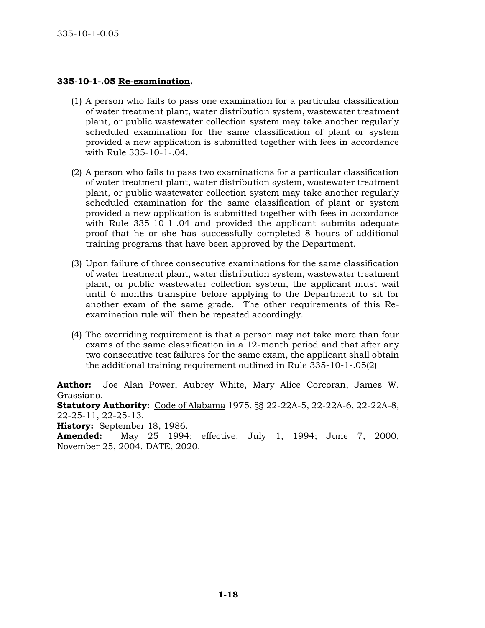### **335-10-1-.05 Re-examination.**

- (1) A person who fails to pass one examination for a particular classification of water treatment plant, water distribution system, wastewater treatment plant, or public wastewater collection system may take another regularly scheduled examination for the same classification of plant or system provided a new application is submitted together with fees in accordance with Rule 335-10-1-.04.
- (2) A person who fails to pass two examinations for a particular classification of water treatment plant, water distribution system, wastewater treatment plant, or public wastewater collection system may take another regularly scheduled examination for the same classification of plant or system provided a new application is submitted together with fees in accordance with Rule 335-10-1-.04 and provided the applicant submits adequate proof that he or she has successfully completed 8 hours of additional training programs that have been approved by the Department.
- (3) Upon failure of three consecutive examinations for the same classification of water treatment plant, water distribution system, wastewater treatment plant, or public wastewater collection system, the applicant must wait until 6 months transpire before applying to the Department to sit for another exam of the same grade. The other requirements of this Reexamination rule will then be repeated accordingly.
- (4) The overriding requirement is that a person may not take more than four exams of the same classification in a 12-month period and that after any two consecutive test failures for the same exam, the applicant shall obtain the additional training requirement outlined in Rule 335-10-1-.05(2)

**Author:** Joe Alan Power, Aubrey White, Mary Alice Corcoran, James W. Grassiano.

**Statutory Authority:** Code of Alabama 1975, §§ 22-22A-5, 22-22A-6, 22-22A-8, 22-25-11, 22-25-13.

**History:** September 18, 1986.

**Amended:** May 25 1994; effective: July 1, 1994; June 7, 2000, November 25, 2004. DATE, 2020.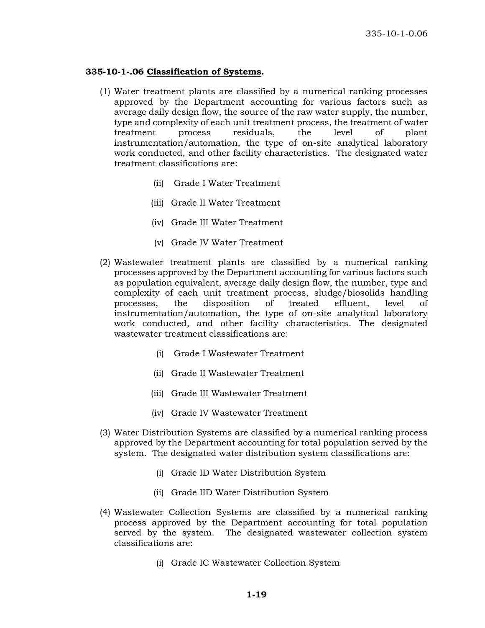#### **335-10-1-.06 Classification of Systems.**

- (1) Water treatment plants are classified by a numerical ranking processes approved by the Department accounting for various factors such as average daily design flow, the source of the raw water supply, the number, type and complexity of each unit treatment process, the treatment of water treatment process residuals, the level of plant instrumentation/automation, the type of on-site analytical laboratory work conducted, and other facility characteristics. The designated water treatment classifications are:
	- (ii) Grade I Water Treatment
	- (iii) Grade II Water Treatment
	- (iv) Grade III Water Treatment
	- (v) Grade IV Water Treatment
- (2) Wastewater treatment plants are classified by a numerical ranking processes approved by the Department accounting for various factors such as population equivalent, average daily design flow, the number, type and complexity of each unit treatment process, sludge/biosolids handling processes, the disposition of treated effluent, level of instrumentation/automation, the type of on-site analytical laboratory work conducted, and other facility characteristics. The designated wastewater treatment classifications are:
	- (i) Grade I Wastewater Treatment
	- (ii) Grade II Wastewater Treatment
	- (iii) Grade III Wastewater Treatment
	- (iv) Grade IV Wastewater Treatment
- (3) Water Distribution Systems are classified by a numerical ranking process approved by the Department accounting for total population served by the system. The designated water distribution system classifications are:
	- (i) Grade ID Water Distribution System
	- (ii) Grade IID Water Distribution System
- (4) Wastewater Collection Systems are classified by a numerical ranking process approved by the Department accounting for total population served by the system. The designated wastewater collection system classifications are:
	- (i) Grade IC Wastewater Collection System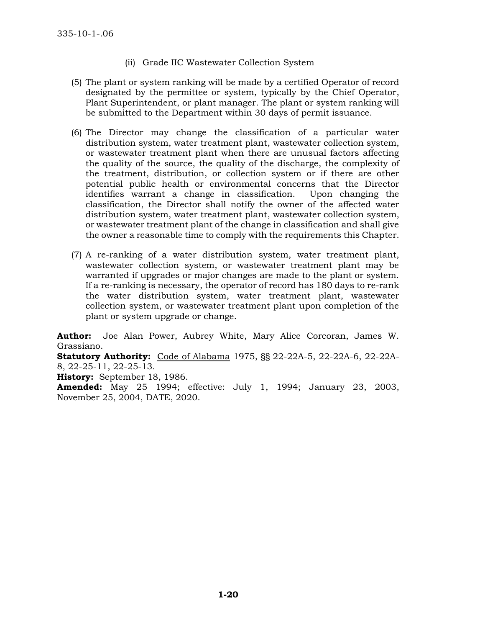- (ii) Grade IIC Wastewater Collection System
- (5) The plant or system ranking will be made by a certified Operator of record designated by the permittee or system, typically by the Chief Operator, Plant Superintendent, or plant manager. The plant or system ranking will be submitted to the Department within 30 days of permit issuance.
- (6) The Director may change the classification of a particular water distribution system, water treatment plant, wastewater collection system, or wastewater treatment plant when there are unusual factors affecting the quality of the source, the quality of the discharge, the complexity of the treatment, distribution, or collection system or if there are other potential public health or environmental concerns that the Director identifies warrant a change in classification. Upon changing the classification, the Director shall notify the owner of the affected water distribution system, water treatment plant, wastewater collection system, or wastewater treatment plant of the change in classification and shall give the owner a reasonable time to comply with the requirements this Chapter.
- (7) A re-ranking of a water distribution system, water treatment plant, wastewater collection system, or wastewater treatment plant may be warranted if upgrades or major changes are made to the plant or system. If a re-ranking is necessary, the operator of record has 180 days to re-rank the water distribution system, water treatment plant, wastewater collection system, or wastewater treatment plant upon completion of the plant or system upgrade or change.

**Author:** Joe Alan Power, Aubrey White, Mary Alice Corcoran, James W. Grassiano.

**Statutory Authority:** Code of Alabama 1975, §§ 22-22A-5, 22-22A-6, 22-22A-8, 22-25-11, 22-25-13.

**History:** September 18, 1986.

**Amended:** May 25 1994; effective: July 1, 1994; January 23, 2003, November 25, 2004, DATE, 2020.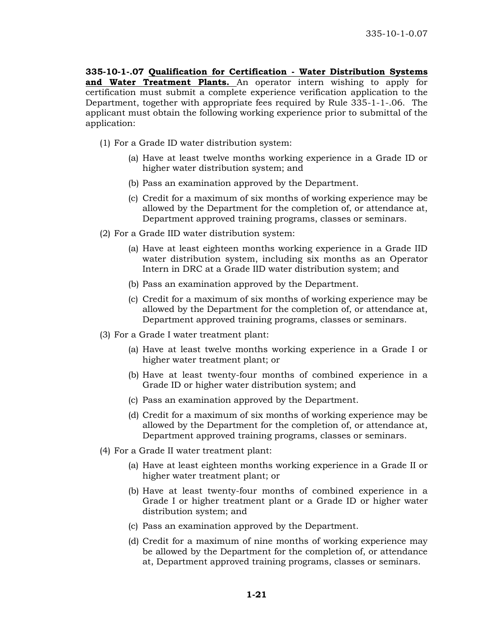**335-10-1-.07 Qualification for Certification - Water Distribution Systems and Water Treatment Plants.** An operator intern wishing to apply for certification must submit a complete experience verification application to the Department, together with appropriate fees required by Rule 335-1-1-.06. The applicant must obtain the following working experience prior to submittal of the application:

- (1) For a Grade ID water distribution system:
	- (a) Have at least twelve months working experience in a Grade ID or higher water distribution system; and
	- (b) Pass an examination approved by the Department.
	- (c) Credit for a maximum of six months of working experience may be allowed by the Department for the completion of, or attendance at, Department approved training programs, classes or seminars.
- (2) For a Grade IID water distribution system:
	- (a) Have at least eighteen months working experience in a Grade IID water distribution system, including six months as an Operator Intern in DRC at a Grade IID water distribution system; and
	- (b) Pass an examination approved by the Department.
	- (c) Credit for a maximum of six months of working experience may be allowed by the Department for the completion of, or attendance at, Department approved training programs, classes or seminars.
- (3) For a Grade I water treatment plant:
	- (a) Have at least twelve months working experience in a Grade I or higher water treatment plant; or
	- (b) Have at least twenty-four months of combined experience in a Grade ID or higher water distribution system; and
	- (c) Pass an examination approved by the Department.
	- (d) Credit for a maximum of six months of working experience may be allowed by the Department for the completion of, or attendance at, Department approved training programs, classes or seminars.
- (4) For a Grade II water treatment plant:
	- (a) Have at least eighteen months working experience in a Grade II or higher water treatment plant; or
	- (b) Have at least twenty-four months of combined experience in a Grade I or higher treatment plant or a Grade ID or higher water distribution system; and
	- (c) Pass an examination approved by the Department.
	- (d) Credit for a maximum of nine months of working experience may be allowed by the Department for the completion of, or attendance at, Department approved training programs, classes or seminars.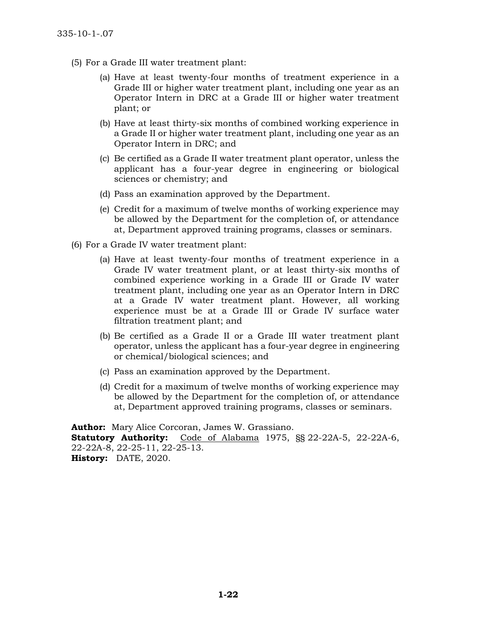- (5) For a Grade III water treatment plant:
	- (a) Have at least twenty-four months of treatment experience in a Grade III or higher water treatment plant, including one year as an Operator Intern in DRC at a Grade III or higher water treatment plant; or
	- (b) Have at least thirty-six months of combined working experience in a Grade II or higher water treatment plant, including one year as an Operator Intern in DRC; and
	- (c) Be certified as a Grade II water treatment plant operator, unless the applicant has a four-year degree in engineering or biological sciences or chemistry; and
	- (d) Pass an examination approved by the Department.
	- (e) Credit for a maximum of twelve months of working experience may be allowed by the Department for the completion of, or attendance at, Department approved training programs, classes or seminars.
- (6) For a Grade IV water treatment plant:
	- (a) Have at least twenty-four months of treatment experience in a Grade IV water treatment plant, or at least thirty-six months of combined experience working in a Grade III or Grade IV water treatment plant, including one year as an Operator Intern in DRC at a Grade IV water treatment plant. However, all working experience must be at a Grade III or Grade IV surface water filtration treatment plant; and
	- (b) Be certified as a Grade II or a Grade III water treatment plant operator, unless the applicant has a four-year degree in engineering or chemical/biological sciences; and
	- (c) Pass an examination approved by the Department.
	- (d) Credit for a maximum of twelve months of working experience may be allowed by the Department for the completion of, or attendance at, Department approved training programs, classes or seminars.

**Author:** Mary Alice Corcoran, James W. Grassiano. **Statutory Authority:** Code of Alabama 1975, §§ 22-22A-5, 22-22A-6, 22-22A-8, 22-25-11, 22-25-13. **History:** DATE, 2020.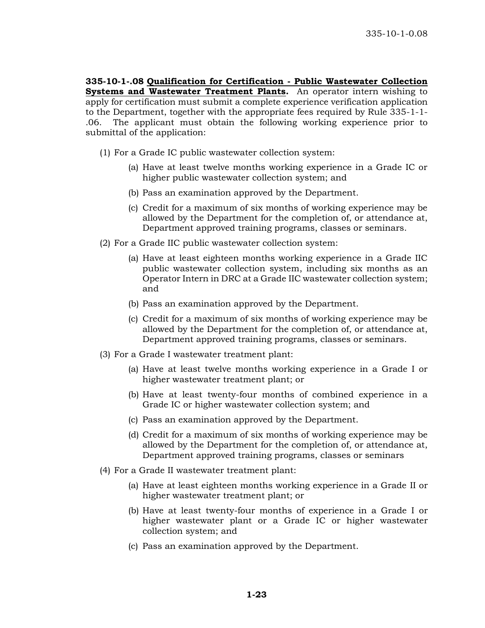**335-10-1-.08 Qualification for Certification - Public Wastewater Collection Systems and Wastewater Treatment Plants.** An operator intern wishing to apply for certification must submit a complete experience verification application to the Department, together with the appropriate fees required by Rule 335-1-1- .06. The applicant must obtain the following working experience prior to submittal of the application:

- (1) For a Grade IC public wastewater collection system:
	- (a) Have at least twelve months working experience in a Grade IC or higher public wastewater collection system; and
	- (b) Pass an examination approved by the Department.
	- (c) Credit for a maximum of six months of working experience may be allowed by the Department for the completion of, or attendance at, Department approved training programs, classes or seminars.
- (2) For a Grade IIC public wastewater collection system:
	- (a) Have at least eighteen months working experience in a Grade IIC public wastewater collection system, including six months as an Operator Intern in DRC at a Grade IIC wastewater collection system; and
	- (b) Pass an examination approved by the Department.
	- (c) Credit for a maximum of six months of working experience may be allowed by the Department for the completion of, or attendance at, Department approved training programs, classes or seminars.
- (3) For a Grade I wastewater treatment plant:
	- (a) Have at least twelve months working experience in a Grade I or higher wastewater treatment plant; or
	- (b) Have at least twenty-four months of combined experience in a Grade IC or higher wastewater collection system; and
	- (c) Pass an examination approved by the Department.
	- (d) Credit for a maximum of six months of working experience may be allowed by the Department for the completion of, or attendance at, Department approved training programs, classes or seminars
- (4) For a Grade II wastewater treatment plant:
	- (a) Have at least eighteen months working experience in a Grade II or higher wastewater treatment plant; or
	- (b) Have at least twenty-four months of experience in a Grade I or higher wastewater plant or a Grade IC or higher wastewater collection system; and
	- (c) Pass an examination approved by the Department.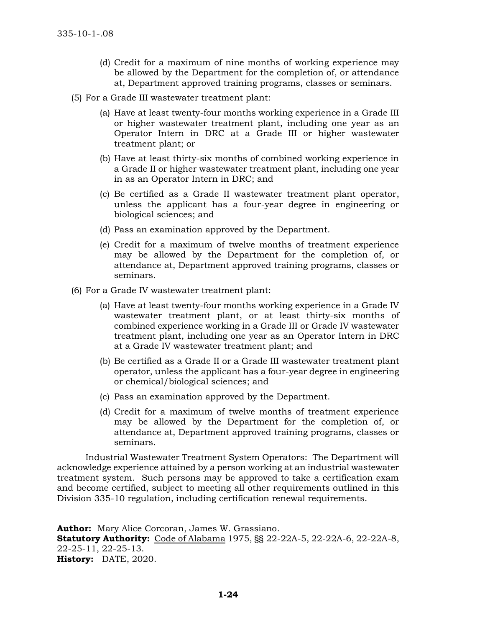- (d) Credit for a maximum of nine months of working experience may be allowed by the Department for the completion of, or attendance at, Department approved training programs, classes or seminars.
- (5) For a Grade III wastewater treatment plant:
	- (a) Have at least twenty-four months working experience in a Grade III or higher wastewater treatment plant, including one year as an Operator Intern in DRC at a Grade III or higher wastewater treatment plant; or
	- (b) Have at least thirty-six months of combined working experience in a Grade II or higher wastewater treatment plant, including one year in as an Operator Intern in DRC; and
	- (c) Be certified as a Grade II wastewater treatment plant operator, unless the applicant has a four-year degree in engineering or biological sciences; and
	- (d) Pass an examination approved by the Department.
	- (e) Credit for a maximum of twelve months of treatment experience may be allowed by the Department for the completion of, or attendance at, Department approved training programs, classes or seminars.
- (6) For a Grade IV wastewater treatment plant:
	- (a) Have at least twenty-four months working experience in a Grade IV wastewater treatment plant, or at least thirty-six months of combined experience working in a Grade III or Grade IV wastewater treatment plant, including one year as an Operator Intern in DRC at a Grade IV wastewater treatment plant; and
	- (b) Be certified as a Grade II or a Grade III wastewater treatment plant operator, unless the applicant has a four-year degree in engineering or chemical/biological sciences; and
	- (c) Pass an examination approved by the Department.
	- (d) Credit for a maximum of twelve months of treatment experience may be allowed by the Department for the completion of, or attendance at, Department approved training programs, classes or seminars.

Industrial Wastewater Treatment System Operators: The Department will acknowledge experience attained by a person working at an industrial wastewater treatment system. Such persons may be approved to take a certification exam and become certified, subject to meeting all other requirements outlined in this Division 335-10 regulation, including certification renewal requirements.

**Author:** Mary Alice Corcoran, James W. Grassiano. **Statutory Authority:** Code of Alabama 1975, §§ 22-22A-5, 22-22A-6, 22-22A-8, 22-25-11, 22-25-13. **History:** DATE, 2020.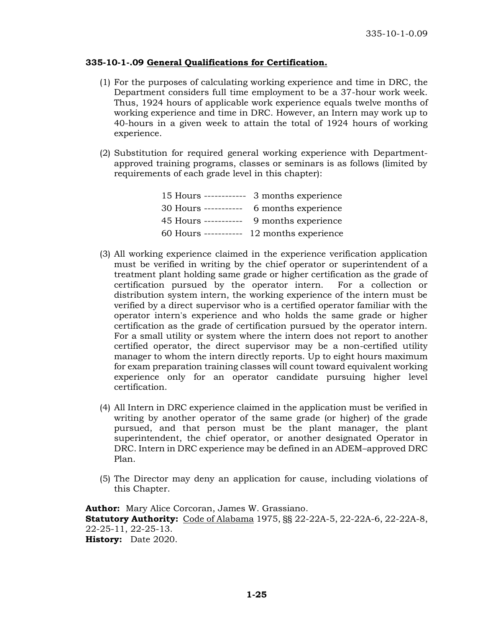### **335-10-1-.09 General Qualifications for Certification.**

- (1) For the purposes of calculating working experience and time in DRC, the Department considers full time employment to be a 37-hour work week. Thus, 1924 hours of applicable work experience equals twelve months of working experience and time in DRC. However, an Intern may work up to 40-hours in a given week to attain the total of 1924 hours of working experience.
- (2) Substitution for required general working experience with Departmentapproved training programs, classes or seminars is as follows (limited by requirements of each grade level in this chapter):

| 15 Hours ------------ | 3 months experience  |
|-----------------------|----------------------|
| 30 Hours -----------  | 6 months experience  |
| 45 Hours -----------  | 9 months experience  |
| 60 Hours -----------  | 12 months experience |

- (3) All working experience claimed in the experience verification application must be verified in writing by the chief operator or superintendent of a treatment plant holding same grade or higher certification as the grade of certification pursued by the operator intern. For a collection or distribution system intern, the working experience of the intern must be verified by a direct supervisor who is a certified operator familiar with the operator intern's experience and who holds the same grade or higher certification as the grade of certification pursued by the operator intern. For a small utility or system where the intern does not report to another certified operator, the direct supervisor may be a non-certified utility manager to whom the intern directly reports. Up to eight hours maximum for exam preparation training classes will count toward equivalent working experience only for an operator candidate pursuing higher level certification.
- (4) All Intern in DRC experience claimed in the application must be verified in writing by another operator of the same grade (or higher) of the grade pursued, and that person must be the plant manager, the plant superintendent, the chief operator, or another designated Operator in DRC. Intern in DRC experience may be defined in an ADEM–approved DRC Plan.
- (5) The Director may deny an application for cause, including violations of this Chapter.

**Author:** Mary Alice Corcoran, James W. Grassiano. **Statutory Authority:** Code of Alabama 1975, §§ 22-22A-5, 22-22A-6, 22-22A-8, 22-25-11, 22-25-13. **History:** Date 2020.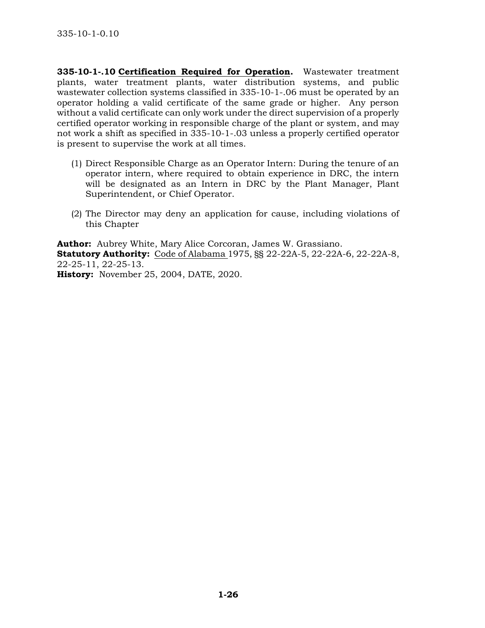**335-10-1-.10 Certification Required for Operation.** Wastewater treatment plants, water treatment plants, water distribution systems, and public wastewater collection systems classified in 335-10-1-.06 must be operated by an operator holding a valid certificate of the same grade or higher. Any person without a valid certificate can only work under the direct supervision of a properly certified operator working in responsible charge of the plant or system, and may not work a shift as specified in 335-10-1-.03 unless a properly certified operator is present to supervise the work at all times.

- (1) Direct Responsible Charge as an Operator Intern: During the tenure of an operator intern, where required to obtain experience in DRC, the intern will be designated as an Intern in DRC by the Plant Manager, Plant Superintendent, or Chief Operator.
- (2) The Director may deny an application for cause, including violations of this Chapter

**Author:** Aubrey White, Mary Alice Corcoran, James W. Grassiano. **Statutory Authority:** Code of Alabama 1975, §§ 22-22A-5, 22-22A-6, 22-22A-8, 22-25-11, 22-25-13.

**History:** November 25, 2004, DATE, 2020.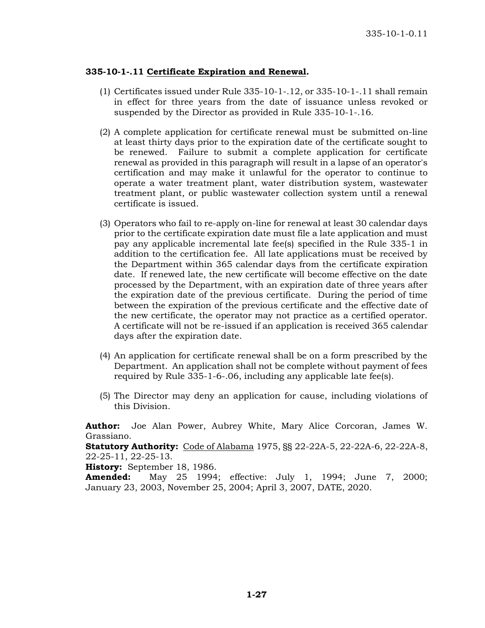## **335-10-1-.11 Certificate Expiration and Renewal.**

- (1) Certificates issued under Rule 335-10-1-.12, or 335-10-1-.11 shall remain in effect for three years from the date of issuance unless revoked or suspended by the Director as provided in Rule 335-10-1-.16.
- (2) A complete application for certificate renewal must be submitted on-line at least thirty days prior to the expiration date of the certificate sought to be renewed. Failure to submit a complete application for certificate renewal as provided in this paragraph will result in a lapse of an operator's certification and may make it unlawful for the operator to continue to operate a water treatment plant, water distribution system, wastewater treatment plant, or public wastewater collection system until a renewal certificate is issued.
- (3) Operators who fail to re-apply on-line for renewal at least 30 calendar days prior to the certificate expiration date must file a late application and must pay any applicable incremental late fee(s) specified in the Rule 335-1 in addition to the certification fee. All late applications must be received by the Department within 365 calendar days from the certificate expiration date. If renewed late, the new certificate will become effective on the date processed by the Department, with an expiration date of three years after the expiration date of the previous certificate. During the period of time between the expiration of the previous certificate and the effective date of the new certificate, the operator may not practice as a certified operator. A certificate will not be re-issued if an application is received 365 calendar days after the expiration date.
- (4) An application for certificate renewal shall be on a form prescribed by the Department. An application shall not be complete without payment of fees required by Rule 335-1-6-.06, including any applicable late fee(s).
- (5) The Director may deny an application for cause, including violations of this Division.

**Author:** Joe Alan Power, Aubrey White, Mary Alice Corcoran, James W. Grassiano.

**Statutory Authority:** Code of Alabama 1975, §§ 22-22A-5, 22-22A-6, 22-22A-8, 22-25-11, 22-25-13.

**History:** September 18, 1986.

**Amended:** May 25 1994; effective: July 1, 1994; June 7, 2000; January 23, 2003, November 25, 2004; April 3, 2007, DATE, 2020.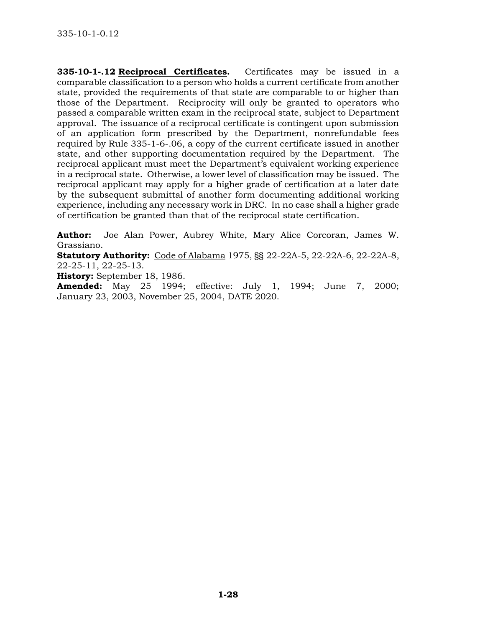**335-10-1-.12 Reciprocal Certificates.** Certificates may be issued in a comparable classification to a person who holds a current certificate from another state, provided the requirements of that state are comparable to or higher than those of the Department. Reciprocity will only be granted to operators who passed a comparable written exam in the reciprocal state, subject to Department approval. The issuance of a reciprocal certificate is contingent upon submission of an application form prescribed by the Department, nonrefundable fees required by Rule 335-1-6-.06, a copy of the current certificate issued in another state, and other supporting documentation required by the Department. The reciprocal applicant must meet the Department's equivalent working experience in a reciprocal state. Otherwise, a lower level of classification may be issued. The reciprocal applicant may apply for a higher grade of certification at a later date by the subsequent submittal of another form documenting additional working experience, including any necessary work in DRC. In no case shall a higher grade of certification be granted than that of the reciprocal state certification.

**Author:** Joe Alan Power, Aubrey White, Mary Alice Corcoran, James W. Grassiano.

**Statutory Authority:** Code of Alabama 1975, §§ 22-22A-5, 22-22A-6, 22-22A-8, 22-25-11, 22-25-13.

**History:** September 18, 1986.

**Amended:** May 25 1994; effective: July 1, 1994; June 7, 2000; January 23, 2003, November 25, 2004, DATE 2020.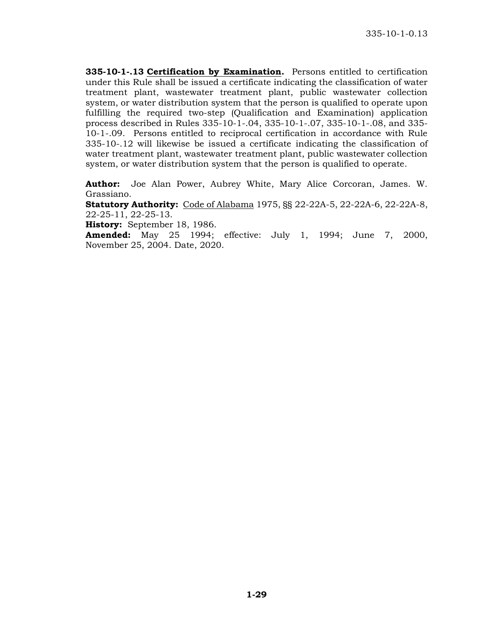**335-10-1-.13 Certification by Examination.** Persons entitled to certification under this Rule shall be issued a certificate indicating the classification of water treatment plant, wastewater treatment plant, public wastewater collection system, or water distribution system that the person is qualified to operate upon fulfilling the required two-step (Qualification and Examination) application process described in Rules 335-10-1-.04, 335-10-1-.07, 335-10-1-.08, and 335- 10-1-.09. Persons entitled to reciprocal certification in accordance with Rule 335-10-.12 will likewise be issued a certificate indicating the classification of water treatment plant, wastewater treatment plant, public wastewater collection system, or water distribution system that the person is qualified to operate.

**Author:** Joe Alan Power, Aubrey White, Mary Alice Corcoran, James. W. Grassiano.

**Statutory Authority:** Code of Alabama 1975, §§ 22-22A-5, 22-22A-6, 22-22A-8, 22-25-11, 22-25-13.

**History:** September 18, 1986.

**Amended:** May 25 1994; effective: July 1, 1994; June 7, 2000, November 25, 2004. Date, 2020.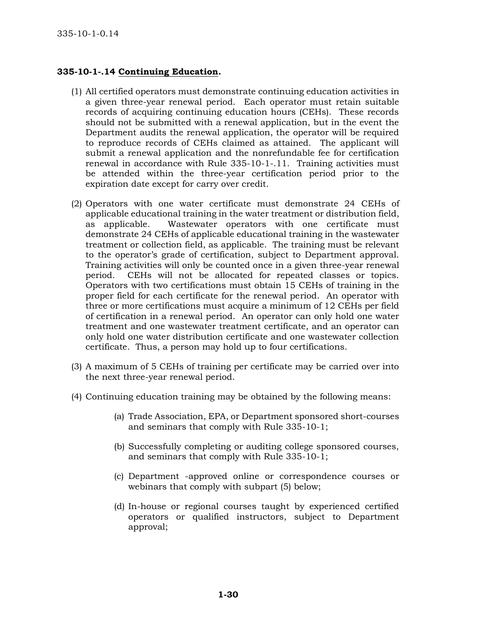# **335-10-1-.14 Continuing Education.**

- (1) All certified operators must demonstrate continuing education activities in a given three-year renewal period. Each operator must retain suitable records of acquiring continuing education hours (CEHs). These records should not be submitted with a renewal application, but in the event the Department audits the renewal application, the operator will be required to reproduce records of CEHs claimed as attained. The applicant will submit a renewal application and the nonrefundable fee for certification renewal in accordance with Rule 335-10-1-.11. Training activities must be attended within the three-year certification period prior to the expiration date except for carry over credit.
- (2) Operators with one water certificate must demonstrate 24 CEHs of applicable educational training in the water treatment or distribution field, as applicable. Wastewater operators with one certificate must demonstrate 24 CEHs of applicable educational training in the wastewater treatment or collection field, as applicable. The training must be relevant to the operator's grade of certification, subject to Department approval. Training activities will only be counted once in a given three-year renewal period. CEHs will not be allocated for repeated classes or topics. Operators with two certifications must obtain 15 CEHs of training in the proper field for each certificate for the renewal period. An operator with three or more certifications must acquire a minimum of 12 CEHs per field of certification in a renewal period. An operator can only hold one water treatment and one wastewater treatment certificate, and an operator can only hold one water distribution certificate and one wastewater collection certificate. Thus, a person may hold up to four certifications.
- (3) A maximum of 5 CEHs of training per certificate may be carried over into the next three-year renewal period.
- (4) Continuing education training may be obtained by the following means:
	- (a) Trade Association, EPA, or Department sponsored short-courses and seminars that comply with Rule 335-10-1;
	- (b) Successfully completing or auditing college sponsored courses, and seminars that comply with Rule 335-10-1;
	- (c) Department -approved online or correspondence courses or webinars that comply with subpart (5) below;
	- (d) In-house or regional courses taught by experienced certified operators or qualified instructors, subject to Department approval;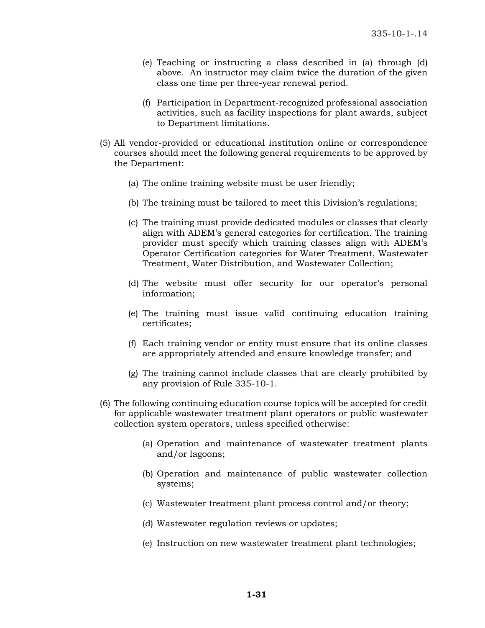- (e) Teaching or instructing a class described in (a) through (d) above. An instructor may claim twice the duration of the given class one time per three-year renewal period.
- (f) Participation in Department-recognized professional association activities, such as facility inspections for plant awards, subject to Department limitations.
- (5) All vendor-provided or educational institution online or correspondence courses should meet the following general requirements to be approved by the Department:
	- (a) The online training website must be user friendly;
	- (b) The training must be tailored to meet this Division's regulations;
	- (c) The training must provide dedicated modules or classes that clearly align with ADEM's general categories for certification. The training provider must specify which training classes align with ADEM's Operator Certification categories for Water Treatment, Wastewater Treatment, Water Distribution, and Wastewater Collection;
	- (d) The website must offer security for our operator's personal information;
	- (e) The training must issue valid continuing education training certificates;
	- (f) Each training vendor or entity must ensure that its online classes are appropriately attended and ensure knowledge transfer; and
	- (g) The training cannot include classes that are clearly prohibited by any provision of Rule 335-10-1.
- (6) The following continuing education course topics will be accepted for credit for applicable wastewater treatment plant operators or public wastewater collection system operators, unless specified otherwise:
	- (a) Operation and maintenance of wastewater treatment plants and/or lagoons;
	- (b) Operation and maintenance of public wastewater collection systems;
	- (c) Wastewater treatment plant process control and/or theory;
	- (d) Wastewater regulation reviews or updates;
	- (e) Instruction on new wastewater treatment plant technologies;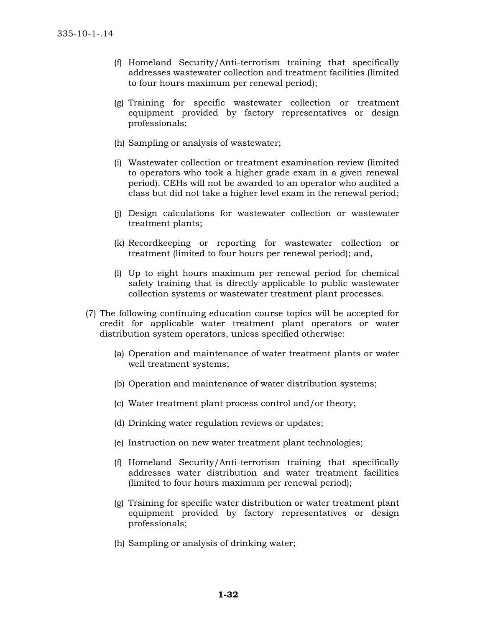- (f) Homeland Security/Anti-terrorism training that specifically addresses wastewater collection and treatment facilities (limited to four hours maximum per renewal period);
- (g) Training for specific wastewater collection or treatment equipment provided by factory representatives or design professionals;
- (h) Sampling or analysis of wastewater;
- (i) Wastewater collection or treatment examination review (limited to operators who took a higher grade exam in a given renewal period). CEHs will not be awarded to an operator who audited a class but did not take a higher level exam in the renewal period;
- (j) Design calculations for wastewater collection or wastewater treatment plants;
- (k) Recordkeeping or reporting for wastewater collection or treatment (limited to four hours per renewal period); and,
- (l) Up to eight hours maximum per renewal period for chemical safety training that is directly applicable to public wastewater collection systems or wastewater treatment plant processes.
- (7) The following continuing education course topics will be accepted for credit for applicable water treatment plant operators or water distribution system operators, unless specified otherwise:
	- (a) Operation and maintenance of water treatment plants or water well treatment systems;
	- (b) Operation and maintenance of water distribution systems;
	- (c) Water treatment plant process control and/or theory;
	- (d) Drinking water regulation reviews or updates;
	- (e) Instruction on new water treatment plant technologies;
	- (f) Homeland Security/Anti-terrorism training that specifically addresses water distribution and water treatment facilities (limited to four hours maximum per renewal period);
	- (g) Training for specific water distribution or water treatment plant equipment provided by factory representatives or design professionals;
	- (h) Sampling or analysis of drinking water;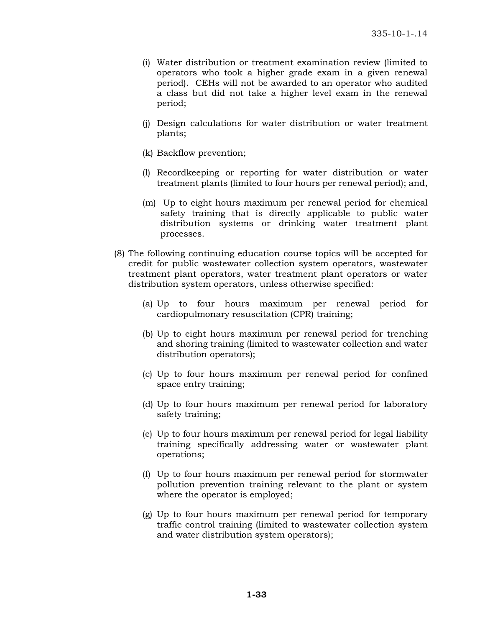- (i) Water distribution or treatment examination review (limited to operators who took a higher grade exam in a given renewal period). CEHs will not be awarded to an operator who audited a class but did not take a higher level exam in the renewal period;
- (j) Design calculations for water distribution or water treatment plants;
- (k) Backflow prevention;
- (l) Recordkeeping or reporting for water distribution or water treatment plants (limited to four hours per renewal period); and,
- (m) Up to eight hours maximum per renewal period for chemical safety training that is directly applicable to public water distribution systems or drinking water treatment plant processes.
- (8) The following continuing education course topics will be accepted for credit for public wastewater collection system operators, wastewater treatment plant operators, water treatment plant operators or water distribution system operators, unless otherwise specified:
	- (a) Up to four hours maximum per renewal period for cardiopulmonary resuscitation (CPR) training;
	- (b) Up to eight hours maximum per renewal period for trenching and shoring training (limited to wastewater collection and water distribution operators);
	- (c) Up to four hours maximum per renewal period for confined space entry training;
	- (d) Up to four hours maximum per renewal period for laboratory safety training;
	- (e) Up to four hours maximum per renewal period for legal liability training specifically addressing water or wastewater plant operations;
	- (f) Up to four hours maximum per renewal period for stormwater pollution prevention training relevant to the plant or system where the operator is employed;
	- (g) Up to four hours maximum per renewal period for temporary traffic control training (limited to wastewater collection system and water distribution system operators);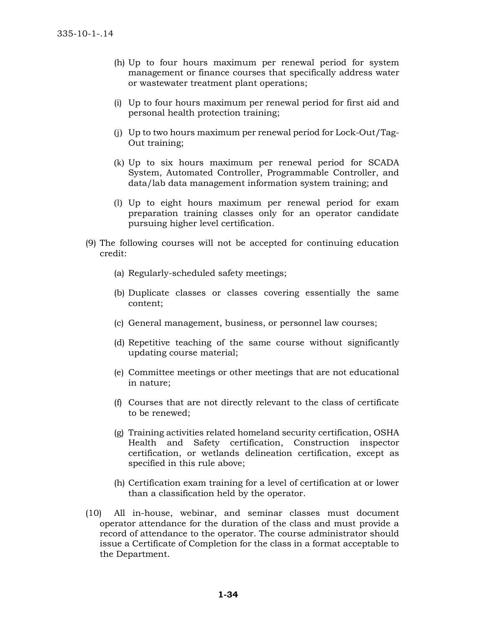- (h) Up to four hours maximum per renewal period for system management or finance courses that specifically address water or wastewater treatment plant operations;
- (i) Up to four hours maximum per renewal period for first aid and personal health protection training;
- (j) Up to two hours maximum per renewal period for Lock-Out/Tag-Out training;
- (k) Up to six hours maximum per renewal period for SCADA System, Automated Controller, Programmable Controller, and data/lab data management information system training; and
- (l) Up to eight hours maximum per renewal period for exam preparation training classes only for an operator candidate pursuing higher level certification.
- (9) The following courses will not be accepted for continuing education credit:
	- (a) Regularly-scheduled safety meetings;
	- (b) Duplicate classes or classes covering essentially the same content;
	- (c) General management, business, or personnel law courses;
	- (d) Repetitive teaching of the same course without significantly updating course material;
	- (e) Committee meetings or other meetings that are not educational in nature;
	- (f) Courses that are not directly relevant to the class of certificate to be renewed;
	- (g) Training activities related homeland security certification, OSHA Health and Safety certification, Construction inspector certification, or wetlands delineation certification, except as specified in this rule above;
	- (h) Certification exam training for a level of certification at or lower than a classification held by the operator.
- (10) All in-house, webinar, and seminar classes must document operator attendance for the duration of the class and must provide a record of attendance to the operator. The course administrator should issue a Certificate of Completion for the class in a format acceptable to the Department.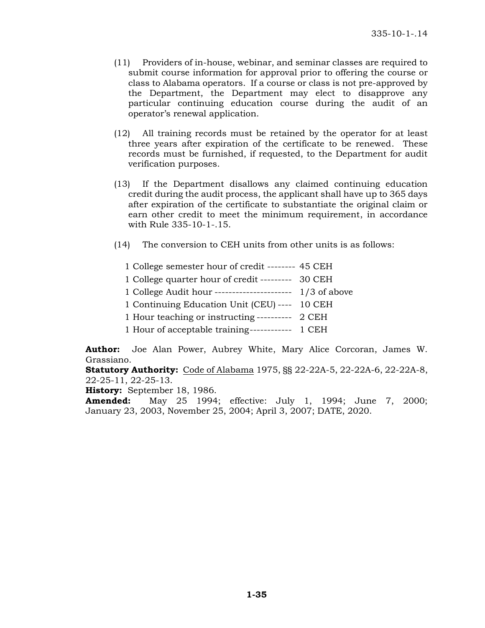- (11) Providers of in-house, webinar, and seminar classes are required to submit course information for approval prior to offering the course or class to Alabama operators. If a course or class is not pre-approved by the Department, the Department may elect to disapprove any particular continuing education course during the audit of an operator's renewal application.
- (12) All training records must be retained by the operator for at least three years after expiration of the certificate to be renewed. These records must be furnished, if requested, to the Department for audit verification purposes.
- (13) If the Department disallows any claimed continuing education credit during the audit process, the applicant shall have up to 365 days after expiration of the certificate to substantiate the original claim or earn other credit to meet the minimum requirement, in accordance with Rule 335-10-1-.15.
- (14) The conversion to CEH units from other units is as follows:

| 1 College semester hour of credit -------- 45 CEH          |  |
|------------------------------------------------------------|--|
| 1 College quarter hour of credit --------- 30 CEH          |  |
| 1 College Audit hour ---------------------- $1/3$ of above |  |
| 1 Continuing Education Unit (CEU) ---- 10 CEH              |  |
| 1 Hour teaching or instructing ---------- 2 CEH            |  |
| 1 Hour of acceptable training------------ 1 CEH            |  |

**Author:** Joe Alan Power, Aubrey White, Mary Alice Corcoran, James W. Grassiano.

**Statutory Authority:** Code of Alabama 1975, §§ 22-22A-5, 22-22A-6, 22-22A-8, 22-25-11, 22-25-13.

**History:** September 18, 1986.

**Amended:** May 25 1994; effective: July 1, 1994; June 7, 2000; January 23, 2003, November 25, 2004; April 3, 2007; DATE, 2020.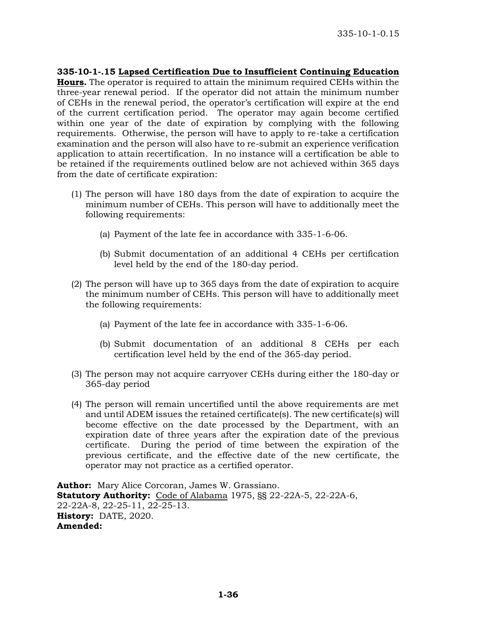**335-10-1-.15 Lapsed Certification Due to Insufficient Continuing Education Hours.** The operator is required to attain the minimum required CEHs within the three-year renewal period. If the operator did not attain the minimum number of CEHs in the renewal period, the operator's certification will expire at the end of the current certification period. The operator may again become certified within one year of the date of expiration by complying with the following requirements. Otherwise, the person will have to apply to re-take a certification examination and the person will also have to re-submit an experience verification application to attain recertification. In no instance will a certification be able to be retained if the requirements outlined below are not achieved within 365 days from the date of certificate expiration:

- (1) The person will have 180 days from the date of expiration to acquire the minimum number of CEHs. This person will have to additionally meet the following requirements:
	- (a) Payment of the late fee in accordance with 335-1-6-06.
	- (b) Submit documentation of an additional 4 CEHs per certification level held by the end of the 180-day period.
- (2) The person will have up to 365 days from the date of expiration to acquire the minimum number of CEHs. This person will have to additionally meet the following requirements:
	- (a) Payment of the late fee in accordance with 335-1-6-06.
	- (b) Submit documentation of an additional 8 CEHs per each certification level held by the end of the 365-day period.
- (3) The person may not acquire carryover CEHs during either the 180-day or 365-day period
- (4) The person will remain uncertified until the above requirements are met and until ADEM issues the retained certificate(s). The new certificate(s) will become effective on the date processed by the Department, with an expiration date of three years after the expiration date of the previous certificate. During the period of time between the expiration of the previous certificate, and the effective date of the new certificate, the operator may not practice as a certified operator.

**Author:** Mary Alice Corcoran, James W. Grassiano. **Statutory Authority:** Code of Alabama 1975, §§ 22-22A-5, 22-22A-6, 22-22A-8, 22-25-11, 22-25-13. **History:** DATE, 2020. **Amended:**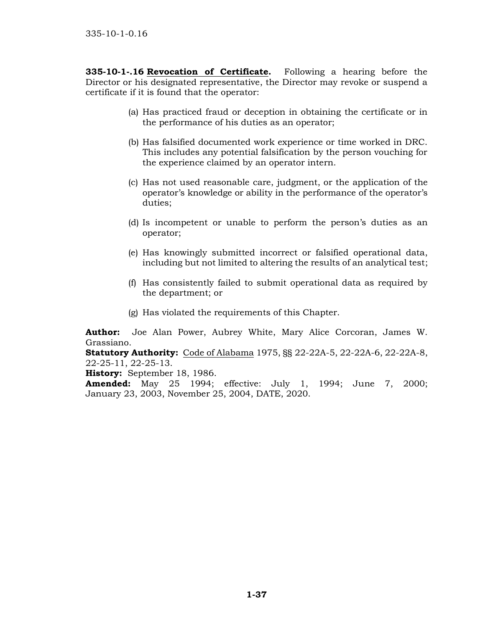**335-10-1-.16 Revocation of Certificate.** Following a hearing before the Director or his designated representative, the Director may revoke or suspend a certificate if it is found that the operator:

- (a) Has practiced fraud or deception in obtaining the certificate or in the performance of his duties as an operator;
- (b) Has falsified documented work experience or time worked in DRC. This includes any potential falsification by the person vouching for the experience claimed by an operator intern.
- (c) Has not used reasonable care, judgment, or the application of the operator's knowledge or ability in the performance of the operator's duties;
- (d) Is incompetent or unable to perform the person's duties as an operator;
- (e) Has knowingly submitted incorrect or falsified operational data, including but not limited to altering the results of an analytical test;
- (f) Has consistently failed to submit operational data as required by the department; or
- (g) Has violated the requirements of this Chapter.

**Author:** Joe Alan Power, Aubrey White, Mary Alice Corcoran, James W. Grassiano.

**Statutory Authority:** Code of Alabama 1975, §§ 22-22A-5, 22-22A-6, 22-22A-8, 22-25-11, 22-25-13.

**History:** September 18, 1986.

**Amended:** May 25 1994; effective: July 1, 1994; June 7, 2000; January 23, 2003, November 25, 2004, DATE, 2020.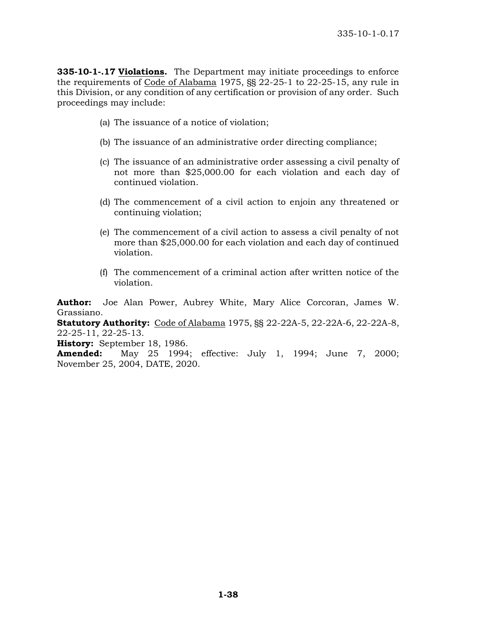**335-10-1-.17 Violations.** The Department may initiate proceedings to enforce the requirements of Code of Alabama 1975, §§ 22-25-1 to 22-25-15, any rule in this Division, or any condition of any certification or provision of any order. Such proceedings may include:

- (a) The issuance of a notice of violation;
- (b) The issuance of an administrative order directing compliance;
- (c) The issuance of an administrative order assessing a civil penalty of not more than \$25,000.00 for each violation and each day of continued violation.
- (d) The commencement of a civil action to enjoin any threatened or continuing violation;
- (e) The commencement of a civil action to assess a civil penalty of not more than \$25,000.00 for each violation and each day of continued violation.
- (f) The commencement of a criminal action after written notice of the violation.

**Author:** Joe Alan Power, Aubrey White, Mary Alice Corcoran, James W. Grassiano.

**Statutory Authority:** Code of Alabama 1975, §§ 22-22A-5, 22-22A-6, 22-22A-8, 22-25-11, 22-25-13.

**History:** September 18, 1986.

**Amended:** May 25 1994; effective: July 1, 1994; June 7, 2000; November 25, 2004, DATE, 2020.